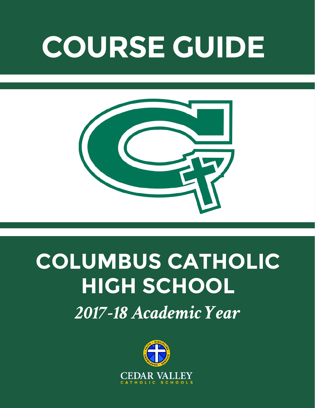# **COURSE GUIDE**



# **COLUMBUS CATHOLIC HIGH SCHOOL**

*2017-18 Academic Year*

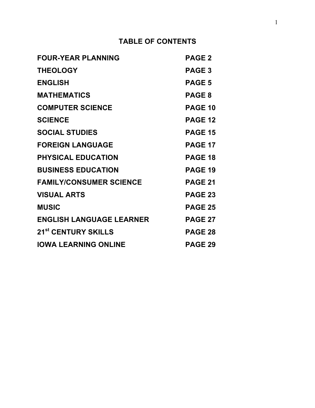## **TABLE OF CONTENTS**

| <b>FOUR-YEAR PLANNING</b>       | <b>PAGE 2</b>  |
|---------------------------------|----------------|
| <b>THEOLOGY</b>                 | PAGE 3         |
| <b>ENGLISH</b>                  | <b>PAGE 5</b>  |
| <b>MATHEMATICS</b>              | <b>PAGE 8</b>  |
| <b>COMPUTER SCIENCE</b>         | <b>PAGE 10</b> |
| <b>SCIENCE</b>                  | <b>PAGE 12</b> |
| <b>SOCIAL STUDIES</b>           | <b>PAGE 15</b> |
| <b>FOREIGN LANGUAGE</b>         | <b>PAGE 17</b> |
| <b>PHYSICAL EDUCATION</b>       | <b>PAGE 18</b> |
| <b>BUSINESS EDUCATION</b>       | <b>PAGE 19</b> |
| <b>FAMILY/CONSUMER SCIENCE</b>  | <b>PAGE 21</b> |
| <b>VISUAL ARTS</b>              | <b>PAGE 23</b> |
| <b>MUSIC</b>                    | <b>PAGE 25</b> |
| <b>ENGLISH LANGUAGE LEARNER</b> | <b>PAGE 27</b> |
| 21 <sup>st</sup> CENTURY SKILLS | <b>PAGE 28</b> |
| <b>IOWA LEARNING ONLINE</b>     | <b>PAGE 29</b> |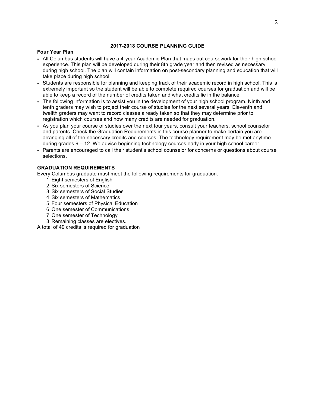## **2017-2018 COURSE PLANNING GUIDE**

### **Four Year Plan**

- All Columbus students will have a 4-year Academic Plan that maps out coursework for their high school experience. This plan will be developed during their 8th grade year and then revised as necessary during high school. The plan will contain information on post-secondary planning and education that will take place during high school.
- Students are responsible for planning and keeping track of their academic record in high school. This is extremely important so the student will be able to complete required courses for graduation and will be able to keep a record of the number of credits taken and what credits lie in the balance.
- The following information is to assist you in the development of your high school program. Ninth and tenth graders may wish to project their course of studies for the next several years. Eleventh and twelfth graders may want to record classes already taken so that they may determine prior to registration which courses and how many credits are needed for graduation.
- As you plan your course of studies over the next four years, consult your teachers, school counselor and parents. Check the Graduation Requirements in this course planner to make certain you are arranging all of the necessary credits and courses. The technology requirement may be met anytime during grades 9 – 12. We advise beginning technology courses early in your high school career.
- Parents are encouraged to call their student's school counselor for concerns or questions about course selections.

## **GRADUATION REQUIREMENTS**

Every Columbus graduate must meet the following requirements for graduation.

- 1. Eight semesters of English
- 2. Six semesters of Science
- 3. Six semesters of Social Studies
- 4. Six semesters of Mathematics
- 5. Four semesters of Physical Education
- 6. One semester of Communications
- 7. One semester of Technology
- 8. Remaining classes are electives.

A total of 49 credits is required for graduation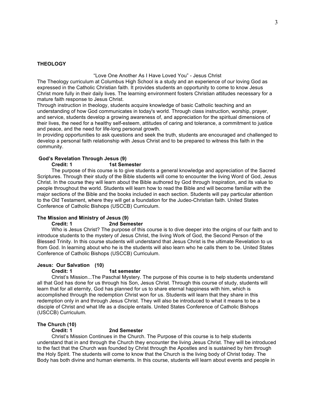#### **THEOLOGY**

"Love One Another As I Have Loved You" - Jesus Christ

The Theology curriculum at Columbus High School is a study and an experience of our loving God as expressed in the Catholic Christian faith. It provides students an opportunity to come to know Jesus Christ more fully in their daily lives. The learning environment fosters Christian attitudes necessary for a mature faith response to Jesus Christ.

Through instruction in theology, students acquire knowledge of basic Catholic teaching and an understanding of how God communicates in today's world. Through class instruction, worship, prayer, and service, students develop a growing awareness of, and appreciation for the spiritual dimensions of their lives, the need for a healthy self-esteem, attitudes of caring and tolerance, a commitment to justice and peace, and the need for life-long personal growth.

In providing opportunities to ask questions and seek the truth, students are encouraged and challenged to develop a personal faith relationship with Jesus Christ and to be prepared to witness this faith in the community.

## **God's Revelation Through Jesus (9)**

#### **Credit: 1 1st Semester**

The purpose of this course is to give students a general knowledge and appreciation of the Sacred Scriptures. Through their study of the Bible students will come to encounter the living Word of God, Jesus Christ. In the course they will learn about the Bible authored by God through Inspiration, and its value to people throughout the world. Students will learn how to read the Bible and will become familiar with the major sections of the Bible and the books included in each section. Students will pay particular attention to the Old Testament, where they will get a foundation for the Judeo-Christian faith. United States Conference of Catholic Bishops (USCCB) Curriculum.

### **The Mission and Ministry of Jesus (9)**

### **Credit: 1 2nd Semester**

Who is Jesus Christ? The purpose of this course is to dive deeper into the origins of our faith and to introduce students to the mystery of Jesus Christ, the living Work of God, the Second Person of the Blessed Trinity. In this course students will understand that Jesus Christ is the ultimate Revelation to us from God. In learning about who he is the students will also learn who he calls them to be. United States Conference of Catholic Bishops (USCCB) Curriculum.

#### **Jesus: Our Salvation (10)**

#### **Credit: 1 1st semester**

Christ's Mission...The Paschal Mystery. The purpose of this course is to help students understand all that God has done for us through his Son, Jesus Christ. Through this course of study, students will learn that for all eternity, God has planned for us to share eternal happiness with him, which is accomplished through the redemption Christ won for us. Students will learn that they share in this redemption only in and through Jesus Christ. They will also be introduced to what it means to be a disciple of Christ and what life as a disciple entails. United States Conference of Catholic Bishops (USCCB) Curriculum.

#### **The Church (10)**

#### **Credit: 1 2nd Semester**

Christ's Mission Continues in the Church. The Purpose of this course is to help students understand that in and through the Church they encounter the living Jesus Christ. They will be introduced to the fact that the Church was founded by Christ through the Apostles and is sustained by him through the Holy Spirit. The students will come to know that the Church is the living body of Christ today. The Body has both divine and human elements. In this course, students will learn about events and people in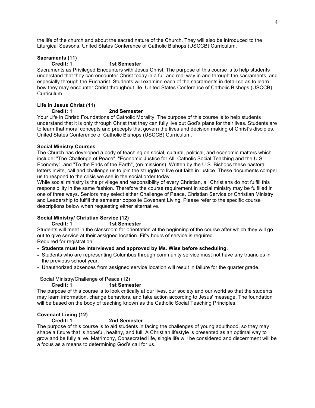the life of the church and about the sacred nature of the Church. They will also be introduced to the Liturgical Seasons. United States Conference of Catholic Bishops (USCCB) Curriculum.

## **Sacraments (11)**

#### **Credit: 1 1st Semester**

Sacraments as Privileged Encounters with Jesus Christ. The purpose of this course is to help students understand that they can encounter Christ today in a full and real way in and through the sacraments, and especially through the Eucharist. Students will examine each of the sacraments in detail so as to learn how they may encounter Christ throughout life. United States Conference of Catholic Bishops (USCCB) Curriculum.

## **Life in Jesus Christ (11)**

## **Credit: 1 2nd Semester**

Your Life in Christ: Foundations of Catholic Morality. The purpose of this course is to help students understand that it is only through Christ that they can fully live out God's plans for their lives. Students are to learn that moral concepts and precepts that govern the lives and decision making of Christ's disciples. United States Conference of Catholic Bishops (USCCB) Curriculum.

## **Social Ministry Courses**

The Church has developed a body of teaching on social, cultural, political, and economic matters which include: "The Challenge of Peace", "Economic Justice for All: Catholic Social Teaching and the U.S. Economy", and "To the Ends of the Earth", (on missions). Written by the U.S. Bishops these pastoral letters invite, call and challenge us to join the struggle to live out faith in justice. These documents compel us to respond to the crisis we see in the social order today.

While social ministry is the privilege and responsibility of every Christian, all Christians do not fulfill this responsibility in the same fashion. Therefore the course requirement in social ministry may be fulfilled in one of three ways. Seniors may select either Challenge of Peace, Christian Service or Christian Ministry and Leadership to fulfill the semester opposite Covenant Living. Please refer to the specific course descriptions below when requesting either alternative.

## **Social Ministry/ Christian Service (12)**

## **Credit: 1 1st Semester**

Students will meet in the classroom for orientation at the beginning of the course after which they will go out to give service at their assigned location. Fifty hours of service is required. Required for registration:

• **Students must be interviewed and approved by Ms. Wiss before scheduling.**

- Students who are representing Columbus through community service must not have any truancies in the previous school year.
- Unauthorized absences from assigned service location will result in failure for the quarter grade.

## Social Ministry/Challenge of Peace (12)

## **Credit: 1 1st Semester**

The purpose of this course is to look critically at our lives, our society and our world so that the students may learn information, change behaviors, and take action according to Jesus' message. The foundation will be based on the body of teaching known as the Catholic Social Teaching Principles.

# **Covenant Living (12)**

## **Credit: 1 2nd Semester**

The purpose of this course is to aid students in facing the challenges of young adulthood, so they may shape a future that is hopeful, healthy, and full. A Christian lifestyle is presented as an optimal way to grow and be fully alive. Matrimony, Consecrated life, single life will be considered and discernment will be a focus as a means to determining God's call for us.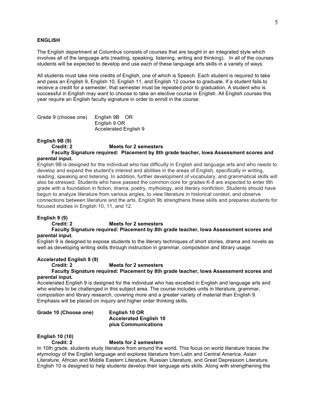#### **ENGLISH**

The English department at Columbus consists of courses that are taught in an integrated style which involves all of the language arts (reading, speaking, listening, writing and thinking). In all of the courses students will be expected to develop and use each of these language arts skills in a variety of ways.

All students must take nine credits of English, one of which is Speech. Each student is required to take and pass an English 9, English 10, English 11, and English 12 course to graduate. If a student fails to receive a credit for a semester, that semester must be repeated prior to graduation. A student who is successful in English may want to choose to take an elective course in English. All English courses this year require an English faculty signature in order to enroll in the course.

Grade 9 (choose one) English 9B OR English 9 OR Accelerated English 9

#### **English 9B (9)**

**Credit: 2 Meets for 2 semesters**

**Faculty Signature required: Placement by 8th grade teacher, Iowa Assessment scores and parental input.**

English 9B is designed for the individual who has difficulty in English and language arts and who needs to develop and expand the student's interest and abilities in the areas of English, specifically in writing, reading, speaking and listening. In addition, further development of vocabulary, and grammatical skills will also be stressed. Students who have passed the common core for grades K-8 are expected to enter 9th grade with a foundation in fiction, drama, poetry, mythology, and literary nonfiction. Students should have begun to analyze literature from various angles, to view literature in historical context, and observe connections between literature and the arts. English 9b strengthens these skills and prepares students for focused studies in English 10, 11, and 12.

### **English 9 (9)**

**Credit: 2 Meets for 2 semesters**

**Faculty Signature required: Placement by 8th grade teacher, Iowa Assessment scores and parental input.**

English 9 is designed to expose students to the literary techniques of short stories, drama and novels as well as developing writing skills through instruction in grammar, composition and library usage.

#### **Accelerated English 9 (9)**

#### **Credit: 2 Meets for 2 semesters**

**Faculty Signature required: Placement by 8th grade teacher, Iowa Assessment scores and parental input.**

Accelerated English 9 is designed for the individual who has excelled in English and language arts and who wishes to be challenged in this subject area. The course includes units in literature, grammar, composition and library research, covering more and a greater variety of material than English 9. Emphasis will be placed on inquiry and higher order thinking skills.

**Grade 10 (Choose one) English 10 OR**

**Accelerated English 10 plus Communications**

## **English 10 (10)**

#### **Credit: 2 Meets for 2 semesters**

In 10th grade, students study literature from around the world. This focus on world literature traces the etymology of the English language and explores literature from Latin and Central America, Asian Literature, African and Middle Eastern Literature, Russian Literature, and Great Depression Literature. English 10 is designed to help students develop their language arts skills. Along with strengthening the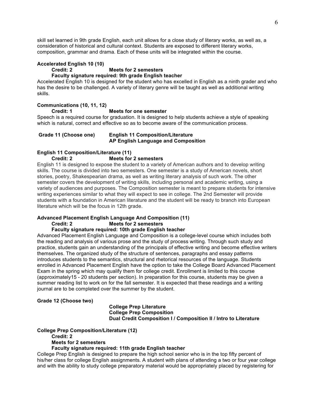skill set learned in 9th grade English, each unit allows for a close study of literary works, as well as, a consideration of historical and cultural context. Students are exposed to different literary works, composition, grammar and drama. Each of these units will be integrated within the course.

#### **Accelerated English 10 (10)**

#### **Credit: 2 Meets for 2 semesters**

## **Faculty signature required: 9th grade English teacher**

Accelerated English 10 is designed for the student who has excelled in English as a ninth grader and who has the desire to be challenged. A variety of literary genre will be taught as well as additional writing skills.

## **Communications (10, 11, 12)**

#### **Credit: 1 Meets for one semester**

Speech is a required course for graduation. It is designed to help students achieve a style of speaking which is natural, correct and effective so as to become aware of the communication process.

#### **Grade 11 (Choose one) English 11 Composition/Literature AP English Language and Composition**

## **English 11 Composition/Literature (11)**

#### **Credit: 2 Meets for 2 semesters**

English 11 is designed to expose the student to a variety of American authors and to develop writing skills. The course is divided into two semesters. One semester is a study of American novels, short stories, poetry, Shakespearian drama, as well as writing literary analysis of such work. The other semester covers the development of writing skills, including personal and academic writing, using a variety of audiences and purposes. The Composition semester is meant to prepare students for intensive writing experiences similar to what they will expect to see in college. The 2nd Semester will provide students with a foundation in American literature and the student will be ready to branch into European literature which will be the focus in 12th grade.

## **Advanced Placement English Language And Composition (11)**

#### **Credit: 2 Meets for 2 semesters**

## **Faculty signature required: 10th grade English teacher**

Advanced Placement English Language and Composition is a college-level course which includes both the reading and analysis of various prose and the study of process writing. Through such study and practice, students gain an understanding of the principals of effective writing and become effective writers themselves. The organized study of the structure of sentences, paragraphs and essay patterns introduces students to the semantics, structural and rhetorical resources of the language. Students enrolled in Advanced Placement English have the option to take the College Board Advanced Placement Exam in the spring which may qualify them for college credit. Enrollment is limited to this course (approximately15 - 20 students per section). In preparation for this course, students may be given a summer reading list to work on for the fall semester. It is expected that these readings and a writing journal are to be completed over the summer by the student.

## **Grade 12 (Choose two)**

## **College Prep Literature College Prep Composition Dual Credit Composition I / Composition II / Intro to Literature**

#### **College Prep Composition/Literature (12)**

#### **Credit: 2**

#### **Meets for 2 semesters**

#### **Faculty signature required: 11th grade English teacher**

College Prep English is designed to prepare the high school senior who is in the top fifty percent of his/her class for college English assignments. A student with plans of attending a two or four year college and with the ability to study college preparatory material would be appropriately placed by registering for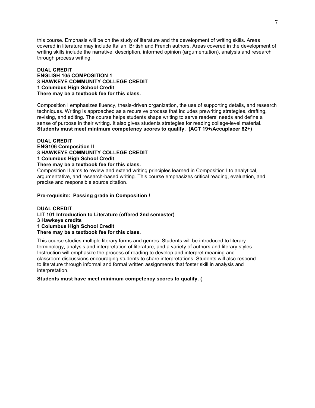this course. Emphasis will be on the study of literature and the development of writing skills. Areas covered in literature may include Italian, British and French authors. Areas covered in the development of writing skills include the narrative, description, informed opinion (argumentation), analysis and research through process writing.

## **DUAL CREDIT ENGLISH 105 COMPOSITION 1 3 HAWKEYE COMMUNITY COLLEGE CREDIT 1 Columbus High School Credit There may be a textbook fee for this class.**

Composition I emphasizes fluency, thesis-driven organization, the use of supporting details, and research techniques. Writing is approached as a recursive process that includes prewriting strategies, drafting, revising, and editing. The course helps students shape writing to serve readers' needs and define a sense of purpose in their writing. It also gives students strategies for reading college-level material. **Students must meet minimum competency scores to qualify. (ACT 19+/Accuplacer 82+)**

**DUAL CREDIT ENG106 Composition II 3 HAWKEYE COMMUNITY COLLEGE CREDIT 1 Columbus High School Credit There may be a textbook fee for this class.**

Composition II aims to review and extend writing principles learned in Composition I to analytical, argumentative, and research-based writing. This course emphasizes critical reading, evaluation, and precise and responsible source citation.

**Pre-requisite: Passing grade in Composition !**

**DUAL CREDIT LIT 101 Introduction to Literature (offered 2nd semester) 3 Hawkeye credits 1 Columbus High School Credit There may be a textbook fee for this class.**

This course studies multiple literary forms and genres. Students will be introduced to literary terminology, analysis and interpretation of literature, and a variety of authors and literary styles. Instruction will emphasize the process of reading to develop and interpret meaning and classroom discussions encouraging students to share interpretations. Students will also respond to literature through informal and formal written assignments that foster skill in analysis and interpretation.

**Students must have meet minimum competency scores to qualify. (**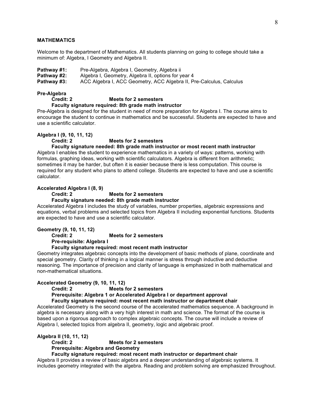#### **MATHEMATICS**

Welcome to the department of Mathematics. All students planning on going to college should take a minimum of: Algebra, I Geometry and Algebra II.

**Pathway #1:** Pre-Algebra, Algebra I, Geometry, Algebra ii **Pathway #2:** Algebra I, Geometry, Algebra II, options for year 4 **Pathway #3:** ACC Algebra I, ACC Geometry, ACC Algebra II, Pre-Calculus, Calculus

## **Pre-Algebra**

#### **Credit: 2 Meets for 2 semesters**

**Faculty signature required: 8th grade math instructor**

Pre-Algebra is designed for the student in need of more preparation for Algebra I. The course aims to encourage the student to continue in mathematics and be successful. Students are expected to have and use a scientific calculator.

#### **Algebra I (9, 10, 11, 12)**

#### **Credit: 2 Meets for 2 semesters**

## **Faculty signature needed: 8th grade math instructor or most recent math instructor**

Algebra I enables the student to experience mathematics in a variety of ways: patterns, working with formulas, graphing ideas, working with scientific calculators. Algebra is different from arithmetic; sometimes it may be harder, but often it is easier because there is less computation. This course is required for any student who plans to attend college. Students are expected to have and use a scientific calculator.

#### **Accelerated Algebra I (8, 9)**

#### **Credit: 2 Meets for 2 semesters**

#### **Faculty signature needed: 8th grade math instructor**

Accelerated Algebra I includes the study of variables, number properties, algebraic expressions and equations, verbal problems and selected topics from Algebra II including exponential functions. Students are expected to have and use a scientific calculator.

## **Geometry (9, 10, 11, 12)**

#### **Credit: 2 Meets for 2 semesters**

**Pre-requisite: Algebra I**

#### **Faculty signature required: most recent math instructor**

Geometry integrates algebraic concepts into the development of basic methods of plane, coordinate and special geometry. Clarity of thinking in a logical manner is stress through inductive and deductive reasoning. The importance of precision and clarity of language is emphasized in both mathematical and non-mathematical situations.

#### **Accelerated Geometry (9, 10, 11, 12)**

## **Credit: 2 Meets for 2 semesters**

**Prerequisite: Algebra 1 or Accelerated Algebra I or department approval**

## **Faculty signature required: most recent math instructor or department chair**

Accelerated Geometry is the second course of the accelerated mathematics sequence. A background in algebra is necessary along with a very high interest in math and science. The format of the course is based upon a rigorous approach to complex algebraic concepts. The course will include a review of Algebra I, selected topics from algebra II, geometry, logic and algebraic proof.

#### **Algebra II (10, 11, 12)**

#### **Credit: 2 Meets for 2 semesters**

## **Prerequisite: Algebra and Geometry**

## **Faculty signature required: most recent math instructor or department chair**

Algebra II provides a review of basic algebra and a deeper understanding of algebraic systems. It includes geometry integrated with the algebra. Reading and problem solving are emphasized throughout.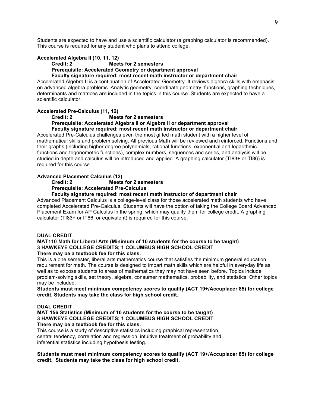Students are expected to have and use a scientific calculator (a graphing calculator is recommended). This course is required for any student who plans to attend college.

## **Accelerated Algebra II (10, 11, 12)**

#### **Credit: 2 Meets for 2 semesters**

**Prerequisite: Accelerated Geometry or department approval**

**Faculty signature required: most recent math instructor or department chair**

Accelerated Algebra II is a continuation of Accelerated Geometry. It reviews algebra skills with emphasis on advanced algebra problems. Analytic geometry, coordinate geometry, functions, graphing techniques, determinants and matrices are included in the topics in this course. Students are expected to have a scientific calculator.

#### **Accelerated Pre-Calculus (11, 12)**

#### **Credit: 2 Meets for 2 semesters**

**Prerequisite: Accelerated Algebra II or Algebra II or department approval Faculty signature required: most recent math instructor or department chair**

Accelerated Pre-Calculus challenges even the most gifted math student with a higher level of mathematical skills and problem solving. All previous Math will be reviewed and reinforced. Functions and their graphs (including higher degree polynomials, rational functions, exponential and logarithmic functions and trigonometric functions), complex numbers, sequences and series, and analysis will be studied in depth and calculus will be introduced and applied. A graphing calculator (TI83+ or TI86) is required for this course.

## **Advanced Placement Calculus (12)**

#### **Credit: 2 Meets for 2 semesters**

**Prerequisite: Accelerated Pre-Calculus**

#### **Faculty signature required: most recent math instructor of department chair**

Advanced Placement Calculus is a college-level class for those accelerated math students who have completed Accelerated Pre-Calculus. Students will have the option of taking the College Board Advanced Placement Exam for AP Calculus in the spring, which may qualify them for college credit. A graphing calculator (TI83+ or IT86, or equivalent) is required for this course.

#### **DUAL CREDIT**

#### **MAT110 Math for Liberal Arts (Minimum of 10 students for the course to be taught) 3 HAWKEYE COLLEGE CREDITS; 1 COLUMBUS HIGH SCHOOL CREDIT There may be a textbook fee for this class.**

This is a one semester, liberal arts mathematics course that satisfies the minimum general education requirement for math. The course is designed to impart math skills which are helpful in everyday life as well as to expose students to areas of mathematics they may not have seen before. Topics include problem-solving skills, set theory, algebra, consumer mathematics, probability, and statistics. Other topics may be included.

**Students must meet minimum competency scores to qualify (ACT 19+/Accuplacer 85) for college credit. Students may take the class for high school credit.**

### **DUAL CREDIT**

#### **MAT 156 Statistics (Minimum of 10 students for the course to be taught) 3 HAWKEYE COLLEGE CREDITS; 1 COLUMBUS HIGH SCHOOL CREDIT There may be a textbook fee for this class.**

This course is a study of descriptive statistics including graphical representation, central tendency, correlation and regression, intuitive treatment of probability and inferential statistics including hypothesis testing.

**Students must meet minimum competency scores to qualify (ACT 19+/Accuplacer 85) for college credit. Students may take the class for high school credit.**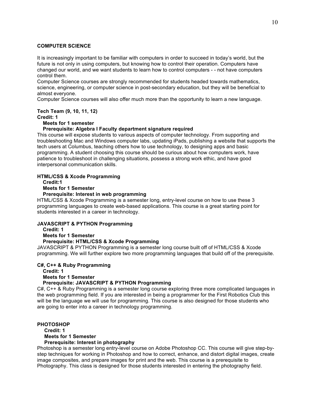#### **COMPUTER SCIENCE**

It is increasingly important to be familiar with computers in order to succeed in today's world, but the future is not only in using computers, but knowing how to control their operation. Computers have changed our world, and we want students to learn how to control computers - - not have computers control them.

Computer Science courses are strongly recommended for students headed towards mathematics, science, engineering, or computer science in post-secondary education, but they will be beneficial to almost everyone.

Computer Science courses will also offer much more than the opportunity to learn a new language.

## **Tech Team (9, 10, 11, 12)**

**Credit: 1**

#### **Meets for 1 semester**

#### **Prerequisite: Algebra I Faculty department signature required**

This course will expose students to various aspects of computer technology. From supporting and troubleshooting Mac and Windows computer labs, updating iPads, publishing a website that supports the tech users at Columbus, teaching others how to use technology, to designing apps and basic programming. A student choosing this course should be curious about how computers work, have patience to troubleshoot in challenging situations, possess a strong work ethic, and have good interpersonal communication skills.

## **HTML/CSS & Xcode Programming**

**Credit:1**

#### **Meets for 1 Semester**

#### **Prerequisite: Interest in web programming**

HTML/CSS & Xcode Programming is a semester long, entry-level course on how to use these 3 programming languages to create web-based applications. This course is a great starting point for students interested in a career in technology.

## **JAVASCRIPT & PYTHON Programming**

**Credit: 1**

#### **Meets for 1 Semester**

## **Prerequisite: HTML/CSS & Xcode Programming**

JAVASCRIPT & PYTHON Programming is a semester long course built off of HTML/CSS & Xcode programming. We will further explore two more programming languages that build off of the prerequisite.

#### **C#, C++ & Ruby Programming**

**Credit: 1 Meets for 1 Semester**

## **Prerequisite: JAVASCRIPT & PYTHON Programming**

C#, C++ & Ruby Programming is a semester long course exploring three more complicated languages in the web programming field. If you are interested in being a programmer for the First Robotics Club this will be the language we will use for programming. This course is also designed for those students who are going to enter into a career in technology programming.

## **PHOTOSHOP**

## **Credit: 1**

#### **Meets for 1 Semester Prerequisite: Interest in photography**

Photoshop is a semester long entry-level course on Adobe Photoshop CC. This course will give step-bystep techniques for working in Photoshop and how to correct, enhance, and distort digital images, create image composites, and prepare images for print and the web. This course is a prerequisite to Photography. This class is designed for those students interested in entering the photography field.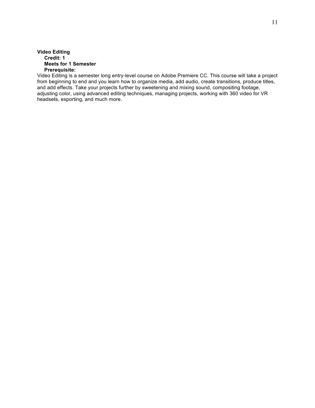### **Video Editing Credit: 1 Meets for 1 Semester Prerequisite:**

Video Editing is a semester long entry-level course on Adobe Premiere CC. This course will take a project from beginning to end and you learn how to organize media, add audio, create transitions, produce titles, and add effects. Take your projects further by sweetening and mixing sound, compositing footage, adjusting color, using advanced editing techniques, managing projects, working with 360 video for VR headsets, exporting, and much more.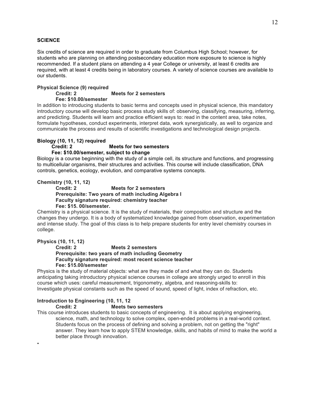## **SCIENCE**

Six credits of science are required in order to graduate from Columbus High School; however, for students who are planning on attending postsecondary education more exposure to science is highly recommended. If a student plans on attending a 4 year College or university, at least 6 credits are required, with at least 4 credits being in laboratory courses. A variety of science courses are available to our students.

#### **Physical Science (9) required Credit: 2 Meets for 2 semesters Fee: \$10.00/semester**

In addition to introducing students to basic terms and concepts used in physical science, this mandatory introductory course will develop basic process study skills of: observing, classifying, measuring, inferring, and predicting. Students will learn and practice efficient ways to: read in the content area, take notes, formulate hypotheses, conduct experiments, interpret data, work synergistically, as well to organize and communicate the process and results of scientific investigations and technological design projects.

#### **Biology (10, 11, 12) required**

#### **Credit: 2 Meets for two semesters**

## **Fee: \$10.00/semester, subject to change**

Biology is a course beginning with the study of a simple cell, its structure and functions, and progressing to multicellular organisms, their structures and activities. This course will include classification, DNA controls, genetics, ecology, evolution, and comparative systems concepts.

#### **Chemistry (10, 11, 12)**

#### **Credit: 2 Meets for 2 semesters Prerequisite: Two years of math including Algebra I Faculty signature required: chemistry teacher Fee: \$15. 00/semester.**

Chemistry is a physical science. It is the study of materials, their composition and structure and the changes they undergo. It is a body of systematized knowledge gained from observation, experimentation and intense study. The goal of this class is to help prepare students for entry level chemistry courses in college.

## **Physics (10, 11, 12)**

•

#### **Credit: 2 Meets 2 semesters Prerequisite: two years of math including Geometry Faculty signature required: most recent science teacher Fee: \$15.00/semester**

Physics is the study of material objects: what are they made of and what they can do. Students anticipating taking introductory physical science courses in college are strongly urged to enroll in this course which uses: careful measurement, trigonometry, algebra, and reasoning-skills to: Investigate physical constants such as the speed of sound, speed of light, index of refraction, etc.

## **Introduction to Engineering (10, 11, 12**

#### **Credit: 2 Meets two semesters**

This course introduces students to basic concepts of engineering. It is about applying engineering, science, math, and technology to solve complex, open-ended problems in a real-world context. Students focus on the process of defining and solving a problem, not on getting the "right" answer. They learn how to apply STEM knowledge, skills, and habits of mind to make the world a better place through innovation.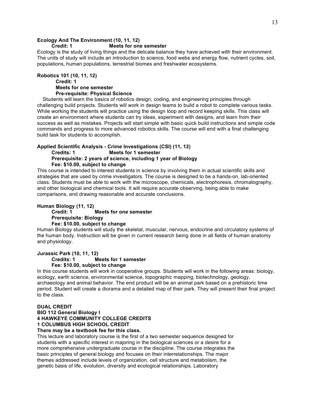## **Ecology And The Environment (10, 11, 12)**

#### **Credit: 1 Meets for one semester**

Ecology is the study of living things and the delicate balance they have achieved with their environment. The units of study will include an introduction to science, food webs and energy flow, nutrient cycles, soil, populations, human populations, terrestrial biomes and freshwater ecosystems.

#### **Robotics 101 (10, 11, 12) Credit: 1 Meets for one semester Pre-requisite: Physical Science**

Students will learn the basics of robotics design, coding, and engineering principles through challenging build projects. Students will work in design teams to build a robot to complete various tasks. While working the students will practice using the design loop and record keeping skills. This class will create an environment where students can try ideas, experiment with designs, and learn from their success as well as mistakes. Projects will start simple with basic quick build instructions and simple code commands and progress to more advanced robotics skills. The course will end with a final challenging build task for students to accomplish.

#### **Applied Scientific Analysis - Crime Investigations (CSI) (11, 12)**

**Credits: 1 Meets for 1 semester Prerequisite: 2 years of science, including 1 year of Biology**

**Fee: \$10.00, subject to change**

This course is intended to interest students in science by involving them in actual scientific skills and strategies that are used by crime investigators. The course is designed to be a hands-on, lab-oriented class. Students must be able to work with the microscope, chemicals, electrophoresis, chromatography, and other biological and chemical tools. It will require accurate observing, being able to make comparisons, and drawing reasonable and accurate conclusions.

## **Human Biology (11, 12)**

#### **Credit: 1 Meets for one semester Prerequisite: Biology Fee: \$10.00, subject to change**

Human Biology students will study the skeletal, muscular, nervous, endocrine and circulatory systems of the human body. Instruction will be given in current research being done in all fields of human anatomy and physiology.

## **Jurassic Park (10, 11, 12)**

**Credits: 1 Meets for 1 semester Fee: \$10.00, subject to change**

In this course students will work in cooperative groups. Students will work in the following areas: biology, ecology, earth science, environmental science, topographic mapping, biotechnology, geology, archaeology and animal behavior. The end product will be an animal park based on a prehistoric time period. Student will create a diorama and a detailed map of their park. They will present their final project to the class.

#### **DUAL CREDIT**

**BIO 112 General Biology I 4 HAWKEYE COMMUNITY COLLEGE CREDITS 1 COLUMBUS HIGH SCHOOL CREDIT**

## **There may be a textbook fee for this class.**

This lecture and laboratory course is the first of a two semester sequence designed for students with a specific interest in majoring in the biological sciences or a desire for a more comprehensive undergraduate course in the discipline. The course integrates the basic principles of general biology and focuses on their interrelationships. The major themes addressed include levels of organization, cell structure and metabolism, the genetic basis of life, evolution, diversity and ecological relationships. Laboratory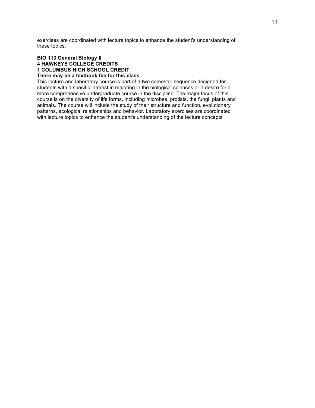exercises are coordinated with lecture topics to enhance the student's understanding of these topics.

#### **BIO 113 General Biology II 4 HAWKEYE COLLEGE CREDITS 1 COLUMBUS HIGH SCHOOL CREDIT There may be a textbook fee for this class.**

This lecture and laboratory course is part of a two semester sequence designed for students with a specific interest in majoring in the biological sciences or a desire for a more comprehensive undergraduate course in the discipline. The major focus of this course is on the diversity of life forms, including microbes, protists, the fungi, plants and animals. The course will include the study of their structure and function, evolutionary patterns, ecological relationships and behavior. Laboratory exercises are coordinated with lecture topics to enhance the student's understanding of the lecture concepts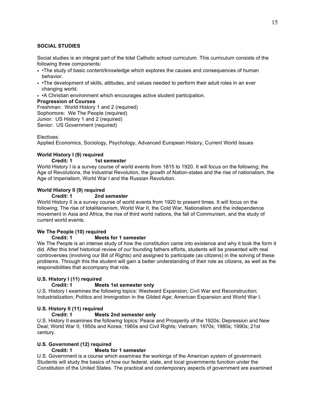## **SOCIAL STUDIES**

Social studies is an integral part of the total Catholic school curriculum. This curriculum consists of the following three components:

- •The study of basic content/knowledge which explores the causes and consequences of human behavior.
- •The development of skills, attitudes, and values needed to perform their adult roles in an ever changing world.
- •A Christian environment which encourages active student participation.

## **Progression of Courses**

Freshman: World History 1 and 2 (required) Sophomore: We The People (required) Junior: US History 1 and 2 (required) Senior: US Government (required)

## Electives:

Applied Economics, Sociology, Psychology, Advanced European History, Current World Issues

## **World History I (9) required**

## **Credit: 1 1st semester**

World History I is a survey course of world events from 1815 to 1920. It will focus on the following; the Age of Revolutions, the Industrial Revolution, the growth of Nation-states and the rise of nationalism, the Age of Imperialism, World War I and the Russian Revolution.

## **World History II (9) required**

## **Credit: 1 2nd semester**

World History II is a survey course of world events from 1920 to present times. It will focus on the following; The rise of totalitarianism, World War II, the Cold War, Nationalism and the independence movement in Asia and Africa, the rise of third world nations, the fall of Communism, and the study of current world events.

## **We The People (10) required**

## **Credit: 1 Meets for 1 semester**

We The People is an intense study of how the constitution came into existence and why it took the form it did. After this brief historical review of our founding fathers efforts, students will be presented with real controversies (involving our Bill of Rights) and assigned to participate (as citizens) in the solving of these problems. Through this the student will gain a better understanding of their role as citizens, as well as the responsibilities that accompany that role.

## **U.S. History I (11) required**

## **Credit: 1 Meets 1st semester only**

U.S. History I examines the following topics: Westward Expansion; Civil War and Reconstruction; Industrialization; Politics and Immigration in the Gilded Age; American Expansion and World War I.

## **U.S. History II (11) required**

## **Credit: 1 Meets 2nd semester only**

U.S. History II examines the following topics: Peace and Prosperity of the 1920s; Depression and New Deal; World War II; 1950s and Korea; 1960s and Civil Rights; Vietnam; 1970s; 1980s; 1990s; 21st century.

## **U.S. Government (12) required**

## **Credit: 1 Meets for 1 semester**

U.S. Government is a course which examines the workings of the American system of government. Students will study the basics of how our federal, state, and local governments function under the Constitution of the United States. The practical and contemporary aspects of government are examined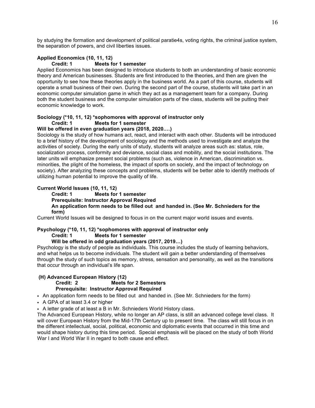by studying the formation and development of political paratie4s, voting rights, the criminal justice system, the separation of powers, and civil liberties issues.

## **Applied Economics (10, 11, 12)**

### **Credit: 1 Meets for 1 semester**

Applied Economics has been designed to introduce students to both an understanding of basic economic theory and American businesses. Students are first introduced to the theories, and then are given the opportunity to see how these theories apply in the business world. As a part of this course, students will operate a small business of their own. During the second part of the course, students will take part in an economic computer simulation game in which they act as a management team for a company. During both the student business and the computer simulation parts of the class, students will be putting their economic knowledge to work.

## **Sociology (\*10, 11, 12) \*sophomores with approval of instructor only Credit: 1 Meets for 1 semester**

#### **Will be offered in even graduation years (2018, 2020.…)**

Sociology is the study of how humans act, react, and interact with each other. Students will be introduced to a brief history of the development of sociology and the methods used to investigate and analyze the activities of society. During the early units of study, students will analyze areas such as: status, role, socialization process, conformity and deviance, social class and mobility, and the social institutions. The later units will emphasize present social problems (such as, violence in American, discrimination vs. minorities, the plight of the homeless, the impact of sports on society, and the impact of technology on society). After analyzing these concepts and problems, students will be better able to identify methods of utilizing human potential to improve the quality of life.

## **Current World Issues (10, 11, 12)**

#### **Credit: 1 Meets for 1 semester Prerequisite: Instructor Approval Required An application form needs to be filled out and handed in. (See Mr. Schnieders for the form)**

Current World Issues will be designed to focus in on the current major world issues and events.

## **Psychology (\*10, 11, 12) \*sophomores with approval of instructor only Credit: 1 Meets for 1 semester**

## **Will be offered in odd graduation years (2017, 2019…)**

Psychology is the study of people as individuals. This course includes the study of learning behaviors, and what helps us to become individuals. The student will gain a better understanding of themselves through the study of such topics as memory, stress, sensation and personality, as well as the transitions that occur through an individual's life span.

### **(H) Advanced European History (12) Credit: 2 Meets for 2 Semesters Prerequisite: Instructor Approval Required**

• An application form needs to be filled out and handed in. (See Mr. Schnieders for the form)

• A GPA of at least 3.4 or higher

• A letter grade of at least a B in Mr. Schnieders World History class.

The Advanced European History, while no longer an AP class, is still an advanced college level class. It will cover European History from the Mid-17th Century up to present time. The class will still focus in on the different intellectual, social, political, economic and diplomatic events that occurred in this time and would shape history during this time period. Special emphasis will be placed on the study of both World War I and World War II in regard to both cause and effect.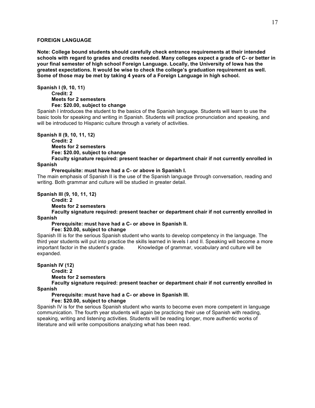## **FOREIGN LANGUAGE**

**Note: College bound students should carefully check entrance requirements at their intended schools with regard to grades and credits needed. Many colleges expect a grade of C- or better in your final semester of high school Foreign Language. Locally, the University of Iowa has the greatest expectations. It would be wise to check the college's graduation requirement as well. Some of those may be met by taking 4 years of a Foreign Language in high school.**

**Spanish I (9, 10, 11) Credit: 2 Meets for 2 semesters Fee: \$20.00, subject to change**

Spanish I introduces the student to the basics of the Spanish language. Students will learn to use the basic tools for speaking and writing in Spanish. Students will practice pronunciation and speaking, and will be introduced to Hispanic culture through a variety of activities.

**Spanish II (9, 10, 11, 12)**

**Credit: 2**

**Meets for 2 semesters**

**Fee: \$20.00, subject to change**

**Faculty signature required: present teacher or department chair if not currently enrolled in Spanish**

#### **Prerequisite: must have had a C- or above in Spanish I.**

The main emphasis of Spanish II is the use of the Spanish language through conversation, reading and writing. Both grammar and culture will be studied in greater detail.

**Spanish III (9, 10, 11, 12)**

**Credit: 2**

**Meets for 2 semesters**

**Faculty signature required: present teacher or department chair if not currently enrolled in Spanish**

### **Prerequisite: must have had a C- or above in Spanish II.**

**Fee: \$20.00, subject to change**

Spanish III is for the serious Spanish student who wants to develop competency in the language. The third year students will put into practice the skills learned in levels I and II. Speaking will become a more important factor in the student's grade. Knowledge of grammar, vocabulary and culture will be expanded.

**Spanish IV (12)**

**Credit: 2**

**Meets for 2 semesters**

**Faculty signature required: present teacher or department chair if not currently enrolled in Spanish**

**Prerequisite: must have had a C- or above in Spanish III.**

**Fee: \$20.00, subject to change**

Spanish IV is for the serious Spanish student who wants to become even more competent in language communication. The fourth year students will again be practicing their use of Spanish with reading, speaking, writing and listening activities. Students will be reading longer, more authentic works of literature and will write compositions analyzing what has been read.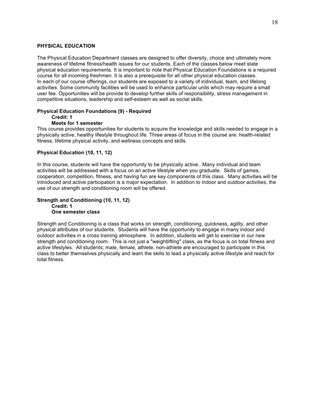#### **PHYSICAL EDUCATION**

The Physical Education Department classes are designed to offer diversity, choice and ultimately more awareness of lifetime fitness/health issues for our students. Each of the classes below meet state physical education requirements. It is important to note that Physical Education Foundations is a required course for all incoming freshmen. It is also a prerequisite for all other physical education classes. In each of our course offerings, our students are exposed to a variety of individual, team, and lifelong activities. Some community facilities will be used to enhance particular units which may require a small user fee. Opportunities will be provide to develop further skills of responsibility, stress management in competitive situations, leadership and self-esteem as well as social skills.

#### **Physical Education Foundations (9) - Required Credit: 1**

#### **Meets for 1 semester**

This course provides opportunities for students to acquire the knowledge and skills needed to engage in a physically active, healthy lifestyle throughout life. Three areas of focus in the course are: health-related fitness, lifetime physical activity, and wellness concepts and skills.

#### **Physical Education (10, 11, 12)**

In this course, students will have the opportunity to be physically active. Many individual and team activities will be addressed with a focus on an active lifestyle when you graduate. Skills of games, cooperation, competition, fitness, and having fun are key components of this class. Many activities will be introduced and active participation is a major expectation. In addition to indoor and outdoor activities, the use of our strength and conditioning room will be offered.

#### **Strength and Conditioning (10, 11, 12) Credit: 1 One semester class**

Strength and Conditioning is a class that works on strength, conditioning, quickness, agility, and other physical attributes of our students. Students will have the opportunity to engage in many indoor and outdoor activities in a cross training atmosphere. In addition, students will get to exercise in our new strength and conditioning room. This is not just a "weightlifting" class, as the focus is on total fitness and active lifestyles. All students; male, female, athlete, non-athlete are encouraged to participate in this class to better themselves physically and learn the skills to lead a physically active lifestyle and reach for total fitness.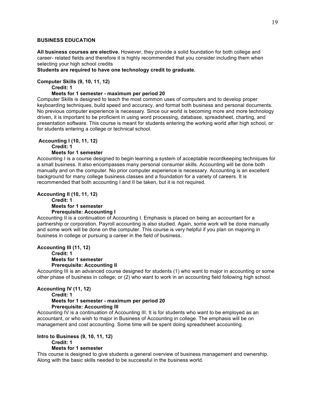## **BUSINESS EDUCATION**

**All business courses are elective.** However, they provide a solid foundation for both college and career- related fields and therefore it is highly recommended that you consider including them when selecting your high school credits

**Students are required to have one technology credit to graduate.**

## **Computer Skills (9, 10, 11, 12)**

## **Credit: 1**

## **Meets for 1 semester - maximum per period 20**

Computer Skills is designed to teach the most common uses of computers and to develop proper keyboarding techniques, build speed and accuracy, and format both business and personal documents. No previous computer experience is necessary. Since our world is becoming more and more technology driven, it is important to be proficient in using word processing, database, spreadsheet, charting, and presentation software. This course is meant for students entering the working world after high school, or for students entering a college or technical school.

**Accounting I (10, 11, 12)**

**Credit: 1**

#### **Meets for 1 semester**

Accounting I is a course designed to begin learning a system of acceptable recordkeeping techniques for a small business. It also encompasses many personal consumer skills. Accounting will be done both manually and on the computer. No prior computer experience is necessary. Accounting is an excellent background for many college business classes and a foundation for a variety of careers. It is recommended that both accounting I and II be taken, but it is not required.

#### **Accounting II (10, 11, 12)**

#### **Credit: 1 Meets for 1 semester Prerequisite: Accounting I**

Accounting II is a continuation of Accounting I. Emphasis is placed on being an accountant for a partnership or corporation. Payroll accounting is also studied. Again, some work will be done manually and some work will be done on the computer. This course is very helpful if you plan on majoring in business in college or pursuing a career in the field of business.

#### **Accounting III (11, 12) Credit: 1 Meets for 1 semester**

#### **Prerequisite: Accounting II**

Accounting III is an advanced course designed for students (1) who want to major in accounting or some other phase of business in college; or (2) who want to work in an accounting field following high school.

## **Accounting IV (11, 12)**

## **Credit: 1 Meets for 1 semester - maximum per period 20 Prerequisite: Accounting III**

Accounting IV is a continuation of Accounting III. It is for students who want to be employed as an accountant, or who wish to major in Business of Accounting in college. The emphasis will be on management and cost accounting. Some time will be spent doing spreadsheet accounting.

## **Intro to Business (9, 10, 11, 12)**

## **Credit: 1**

## **Meets for 1 semester**

This course is designed to give students a general overview of business management and ownership. Along with the basic skills needed to be successful in the business world.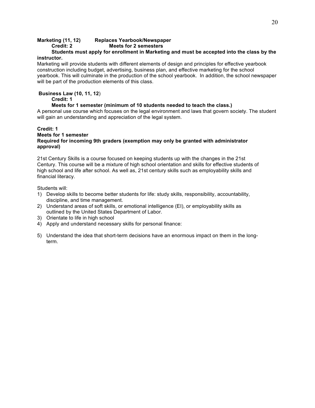## **Marketing (11, 12) Replaces Yearbook/Newspaper**

**Credit: 2 Meets for 2 semesters**

## **Students must apply for enrollment in Marketing and must be accepted into the class by the instructor.**

Marketing will provide students with different elements of design and principles for effective yearbook construction including budget, advertising, business plan, and effective marketing for the school yearbook. This will culminate in the production of the school yearbook. In addition, the school newspaper will be part of the production elements of this class.

## **Business Law (10, 11, 12**)

**Credit: 1**

## **Meets for 1 semester (minimum of 10 students needed to teach the class.)**

A personal use course which focuses on the legal environment and laws that govern society. The student will gain an understanding and appreciation of the legal system.

## **Credit: 1 Meets for 1 semester Required for incoming 9th graders (exemption may only be granted with administrator approval)**

21st Century Skills is a course focused on keeping students up with the changes in the 21st Century. This course will be a mixture of high school orientation and skills for effective students of high school and life after school. As well as, 21st century skills such as employability skills and financial literacy.

Students will:

- 1) Develop skills to become better students for life: study skills, responsibility, accountability, discipline, and time management.
- 2) Understand areas of soft skills, or emotional intelligence (EI), or employability skills as outlined by the United States Department of Labor.
- 3) Orientate to life in high school
- 4) Apply and understand necessary skills for personal finance:
- 5) Understand the idea that short-term decisions have an enormous impact on them in the longterm.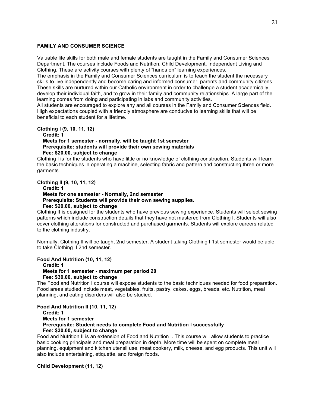#### **FAMILY AND CONSUMER SCIENCE**

Valuable life skills for both male and female students are taught in the Family and Consumer Sciences Department. The courses include Foods and Nutrition, Child Development, Independent Living and Clothing. These are activity courses with plenty of "hands on" learning experiences.

The emphasis in the Family and Consumer Sciences curriculum is to teach the student the necessary skills to live independently and become caring and informed consumer, parents and community citizens. These skills are nurtured within our Catholic environment in order to challenge a student academically, develop their individual faith, and to grow in their family and community relationships. A large part of the learning comes from doing and participating in labs and community activities.

All students are encouraged to explore any and all courses in the Family and Consumer Sciences field. High expectations coupled with a friendly atmosphere are conducive to learning skills that will be beneficial to each student for a lifetime.

**Clothing I (9, 10, 11, 12)** 

**Credit: 1** 

**Meets for 1 semester - normally, will be taught 1st semester Prerequisite: students will provide their own sewing materials Fee: \$20.00, subject to change**

Clothing I is for the students who have little or no knowledge of clothing construction. Students will learn the basic techniques in operating a machine, selecting fabric and pattern and constructing three or more garments.

**Clothing II (9, 10, 11, 12)** 

**Credit: 1 Meets for one semester - Normally, 2nd semester Prerequisite: Students will provide their own sewing supplies. Fee: \$20.00, subject to change**

Clothing II is designed for the students who have previous sewing experience. Students will select sewing patterns which include construction details that they have not mastered from Clothing I. Students will also cover clothing alterations for constructed and purchased garments. Students will explore careers related to the clothing industry.

Normally, Clothing II will be taught 2nd semester. A student taking Clothing I 1st semester would be able to take Clothing II 2nd semester.

**Food And Nutrition (10, 11, 12) Credit: 1 Meets for 1 semester - maximum per period 20 Fee: \$30.00, subject to change**

The Food and Nutrition I course will expose students to the basic techniques needed for food preparation. Food areas studied include meat, vegetables, fruits, pastry, cakes, eggs, breads, etc. Nutrition, meal planning, and eating disorders will also be studied.

**Food And Nutrition II (10, 11, 12) Credit: 1 Meets for 1 semester Prerequisite: Student needs to complete Food and Nutrition I successfully Fee: \$30.00, subject to change**

Food and Nutrition II is an extension of Food and Nutrition I. This course will allow students to practice basic cooking principals and meal preparation in depth. More time will be spent on complete meal planning, equipment and kitchen utensil use, meat cookery, milk, cheese, and egg products. This unit will also include entertaining, etiquette, and foreign foods.

**Child Development (11, 12)**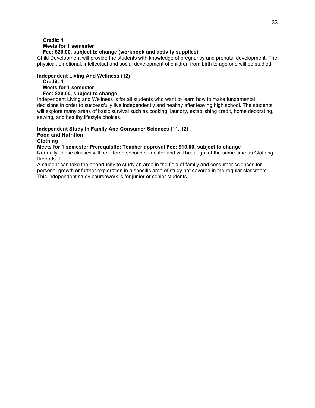## **Credit: 1 Meets for 1 semester**

## **Fee: \$20.00, subject to change (workbook and activity supplies)**

Child Development will provide the students with knowledge of pregnancy and prenatal development. The physical, emotional, intellectual and social development of children from birth to age one will be studied.

## **Independent Living And Wellness (12)**

**Credit: 1 Meets for 1 semester Fee: \$20.00, subject to change**

Independent Living and Wellness is for all students who want to learn how to make fundamental decisions in order to successfully live independently and healthy after leaving high school. The students will explore many areas of basic survival such as cooking, laundry, establishing credit, home decorating, sewing, and healthy lifestyle choices.

#### **Independent Study In Family And Consumer Sciences (11, 12) Food and Nutrition Clothing**

## **Meets for 1 semester Prerequisite: Teacher approval Fee: \$10.00, subject to change**

Normally, these classes will be offered second semester and will be taught at the same time as Clothing II/Foods II.

A student can take the opportunity to study an area in the field of family and consumer sciences for personal growth or further exploration in a specific area of study not covered in the regular classroom. This independent study coursework is for junior or senior students.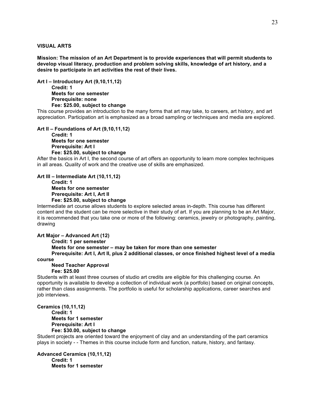#### **VISUAL ARTS**

**Mission: The mission of an Art Department is to provide experiences that will permit students to develop visual literacy, production and problem solving skills, knowledge of art history, and a desire to participate in art activities the rest of their lives.**

**Art I – Introductory Art (9,10,11,12) Credit: 1 Meets for one semester Prerequisite: none Fee: \$25.00, subject to change**

This course provides an introduction to the many forms that art may take, to careers, art history, and art appreciation. Participation art is emphasized as a broad sampling or techniques and media are explored.

**Art II – Foundations of Art (9,10,11,12)**

**Credit: 1 Meets for one semester Prerequisite: Art I Fee: \$25.00, subject to change**

After the basics in Art I, the second course of art offers an opportunity to learn more complex techniques in all areas. Quality of work and the creative use of skills are emphasized.

**Art III – Intermediate Art (10,11,12)**

**Credit: 1 Meets for one semester Prerequisite: Art I, Art II Fee: \$25.00, subject to change**

Intermediate art course allows students to explore selected areas in-depth. This course has different content and the student can be more selective in their study of art. If you are planning to be an Art Major, it is recommended that you take one or more of the following: ceramics, jewelry or photography, painting, drawing

**Art Major – Advanced Art (12)**

**Credit: 1 per semester Meets for one semester – may be taken for more than one semester Prerequisite: Art I, Art II, plus 2 additional classes, or once finished highest level of a media**

**course**

#### **Need Teacher Approval**

#### **Fee: \$25.00**

Students with at least three courses of studio art credits are eligible for this challenging course. An opportunity is available to develop a collection of individual work (a portfolio) based on original concepts, rather than class assignments. The portfolio is useful for scholarship applications, career searches and job interviews.

**Ceramics (10,11,12) Credit: 1 Meets for 1 semester Prerequisite: Art I Fee: \$30.00, subject to change**

Student projects are oriented toward the enjoyment of clay and an understanding of the part ceramics plays in society - - Themes in this course include form and function, nature, history, and fantasy.

**Advanced Ceramics (10,11,12) Credit: 1 Meets for 1 semester**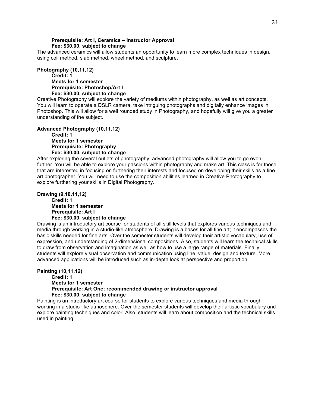## **Prerequisite: Art I, Ceramics – Instructor Approval Fee: \$30.00, subject to change**

The advanced ceramics will allow students an opportunity to learn more complex techniques in design, using coil method, slab method, wheel method, and sculpture.

**Photography (10,11,12) Credit: 1 Meets for 1 semester Prerequisite: Photoshop/Art I Fee: \$30.00, subject to change**

Creative Photography will explore the variety of mediums within photography, as well as art concepts. You will learn to operate a DSLR camera, take intriguing photographs and digitally enhance images in Photoshop. This will allow for a well rounded study in Photography, and hopefully will give you a greater understanding of the subject.

**Advanced Photography (10,11,12)**

**Credit: 1 Meets for 1 semester Prerequisite: Photography Fee: \$30.00, subject to change**

After exploring the several outlets of photography, advanced photography will allow you to go even further. You will be able to explore your passions within photography and make art. This class is for those that are interested in focusing on furthering their interests and focused on developing their skills as a fine art photographer. You will need to use the composition abilities learned in Creative Photography to explore furthering your skills in Digital Photography.

#### **Drawing (9,10,11,12) Credit: 1 Meets for 1 semester Prerequisite: Art I Fee: \$30.00, subject to change**

Drawing is an introductory art course for students of all skill levels that explores various techniques and media through working in a studio-like atmosphere. Drawing is a bases for all fine art; it encompasses the basic skills needed for fine arts. Over the semester students will develop their artistic vocabulary, use of expression, and understanding of 2-dimensional compositions. Also, students will learn the technical skills to draw from observation and imagination as well as how to use a large range of materials. Finally, students will explore visual observation and communication using line, value, design and texture. More advanced applications will be introduced such as in-depth look at perspective and proportion.

**Painting (10,11,12) Credit: 1 Meets for 1 semester Prerequisite: Art One; recommended drawing or instructor approval Fee: \$30.00, subject to change**

Painting is an introductory art course for students to explore various techniques and media through working in a studio-like atmosphere. Over the semester students will develop their artistic vocabulary and explore painting techniques and color. Also, students will learn about composition and the technical skills used in painting.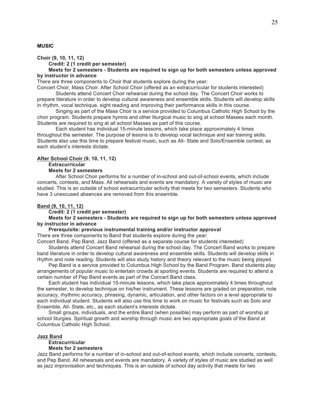### **MUSIC**

**Choir (9, 10, 11, 12)**

**Credit: 2 (1 credit per semester)**

**Meets for 2 semesters - Students are required to sign up for both semesters unless approved by instructor in advance**

There are three components to Choir that students explore during the year:

Concert Choir, Mass Choir, After School Choir (offered as an extracurricular for students interested) Students attend Concert Choir rehearsal during the school day. The Concert Choir works to

prepare literature in order to develop cultural awareness and ensemble skills. Students will develop skills in rhythm, vocal technique, sight reading and improving their performance skills in this course.

Singing as part of the Mass Choir is a service provided to Columbus Catholic High School by the choir program. Students prepare hymns and other liturgical music to sing at school Masses each month. Students are required to sing at all school Masses as part of this course.

Each student has individual 15-minute lessons, which take place approximately 4 times throughout the semester. The purpose of lesions is to develop vocal technique and ear training skills. Students also use this time to prepare festival music, such as All- State and Solo/Ensemble contest, as each student's interests dictate.

#### **After School Choir (9, 10, 11, 12)**

#### **Extracurricular**

#### **Meets for 2 semesters**

After School Choir performs for a number of in-school and out-of-school events, which include concerts, contests, and Mass. All rehearsals and events are mandatory. A variety of styles of music are studied. This is an outside of school extracurricular activity that meets for two semesters. Students who have 3 unexcused absences are removed from this ensemble.

#### **Band (9, 10, 11, 12)**

#### **Credit: 2 (1 credit per semester)**

#### **Meets for 2 semesters - Students are required to sign up for both semesters unless approved by instructor in advance**

#### **Prerequisite: previous instrumental training and/or instructor approval**

There are three components to Band that students explore during the year:

Concert Band, Pep Band, Jazz Band (offered as a separate course for students interested)

Students attend Concert Band rehearsal during the school day. The Concert Band works to prepare band literature in order to develop cultural awareness and ensemble skills. Students will develop skills in rhythm and note reading. Students will also study history and theory relevant to the music being played.

Pep Band is a service provided to Columbus High School by the Band Program. Band students play arrangements of popular music to entertain crowds at sporting events. Students are required to attend a certain number of Pep Band events as part of the Concert Band class.

Each student has individual 15-minute lessons, which take place approximately 4 times throughout the semester, to develop technique on his/her instrument. These lessons are graded on preparation, note accuracy, rhythmic accuracy, phrasing, dynamic, articulation, and other factors on a level appropriate to each individual student. Students will also use this time to work on music for festivals such as Solo and Ensemble, All- State, etc., as each student's interests dictate.

Small groups, individuals, and the entire Band (when possible) may perform as part of worship at school liturgies. Spiritual growth and worship through music are two appropriate goals of the Band at Columbus Catholic High School.

#### **Jazz Band**

**Extracurricular** 

## **Meets for 2 semesters**

Jazz Band performs for a number of in-school and out-of-school events, which include concerts, contests, and Pep Band. All rehearsals and events are mandatory. A variety of styles of music are studied as well as jazz improvisation and techniques. This is an outside of school day activity that meets for two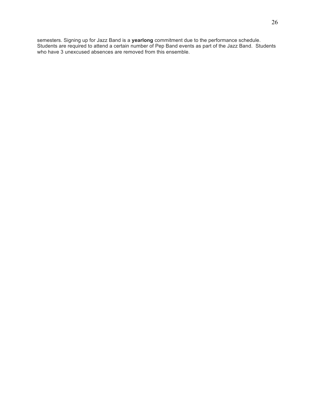semesters. Signing up for Jazz Band is a **yearlong** commitment due to the performance schedule. Students are required to attend a certain number of Pep Band events as part of the Jazz Band. Students who have 3 unexcused absences are removed from this ensemble.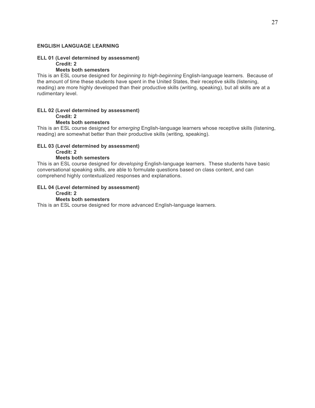## **ENGLISH LANGUAGE LEARNING**

#### **ELL 01 (Level determined by assessment) Credit: 2**

## **Meets both semesters**

This is an ESL course designed for *beginning to high-beginning* English-language learners. Because of the amount of time these students have spent in the United States, their receptive skills (listening, reading) are more highly developed than their productive skills (writing, speaking), but all skills are at a rudimentary level.

#### **ELL 02 (Level determined by assessment) Credit: 2 Meets both semesters**

This is an ESL course designed for *emerging* English-language learners whose receptive skills (listening, reading) are somewhat better than their productive skills (writing, speaking).

## **ELL 03 (Level determined by assessment)**

**Credit: 2**

## **Meets both semesters**

This is an ESL course designed for *developing* English-language learners. These students have basic conversational speaking skills, are able to formulate questions based on class content, and can comprehend highly contextualized responses and explanations.

## **ELL 04 (Level determined by assessment)**

#### **Credit: 2 Meets both semesters**

This is an ESL course designed for more advanced English-language learners.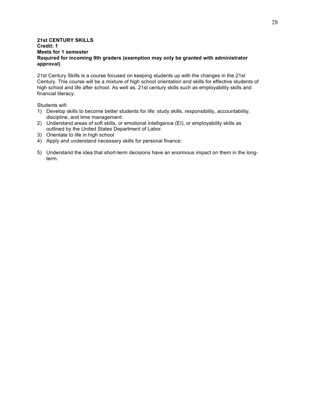## **21st CENTURY SKILLS Credit: 1 Meets for 1 semester Required for incoming 9th graders (exemption may only be granted with administrator approval)**

21st Century Skills is a course focused on keeping students up with the changes in the 21st Century. This course will be a mixture of high school orientation and skills for effective students of high school and life after school. As well as, 21st century skills such as employability skills and financial literacy.

Students will:

- 1) Develop skills to become better students for life: study skills, responsibility, accountability, discipline, and time management.
- 2) Understand areas of soft skills, or emotional intelligence (EI), or employability skills as outlined by the United States Department of Labor.
- 3) Orientate to life in high school
- 4) Apply and understand necessary skills for personal finance:
- 5) Understand the idea that short-term decisions have an enormous impact on them in the longterm.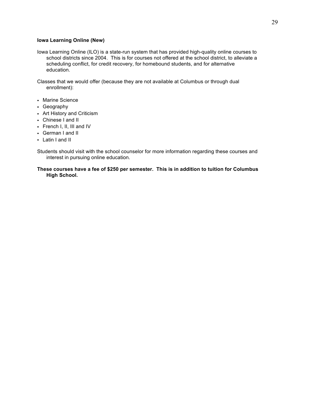## **Iowa Learning Online (New)**

Iowa Learning Online (ILO) is a state-run system that has provided high-quality online courses to school districts since 2004. This is for courses not offered at the school district, to alleviate a scheduling conflict, for credit recovery, for homebound students, and for alternative education.

Classes that we would offer (because they are not available at Columbus or through dual enrollment):

- Marine Science
- Geography
- Art History and Criticism
- Chinese I and II
- French I, II, III and IV
- German I and II
- Latin I and II

Students should visit with the school counselor for more information regarding these courses and interest in pursuing online education.

#### **These courses have a fee of \$250 per semester. This is in addition to tuition for Columbus High School.**